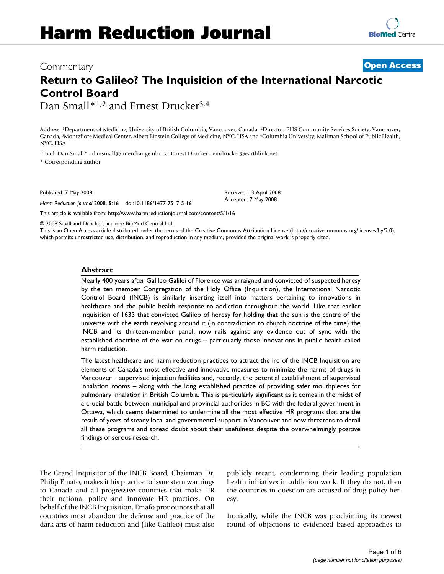# Commentary **[Open Access](http://www.biomedcentral.com/info/about/charter/) Return to Galileo? The Inquisition of the International Narcotic Control Board**

Dan Small<sup>\*1,2</sup> and Ernest Drucker<sup>3,4</sup>

Address: 1Department of Medicine, University of British Columbia, Vancouver, Canada, 2Director, PHS Community Services Society, Vancouver, Canada, 3Montefiore Medical Center, Albert Einstein College of Medicine, NYC, USA and 4Columbia University, Mailman School of Public Health, NYC, USA

> Received: 13 April 2008 Accepted: 7 May 2008

Email: Dan Small\* - dansmall@interchange.ubc.ca; Ernest Drucker - emdrucker@earthlink.net

\* Corresponding author

Published: 7 May 2008

*Harm Reduction Journal* 2008, **5**:16 doi:10.1186/1477-7517-5-16

[This article is available from: http://www.harmreductionjournal.com/content/5/1/16](http://www.harmreductionjournal.com/content/5/1/16)

© 2008 Small and Drucker; licensee BioMed Central Ltd.

This is an Open Access article distributed under the terms of the Creative Commons Attribution License [\(http://creativecommons.org/licenses/by/2.0\)](http://creativecommons.org/licenses/by/2.0), which permits unrestricted use, distribution, and reproduction in any medium, provided the original work is properly cited.

### **Abstract**

Nearly 400 years after Galileo Galilei of Florence was arraigned and convicted of suspected heresy by the ten member Congregation of the Holy Office (Inquisition), the International Narcotic Control Board (INCB) is similarly inserting itself into matters pertaining to innovations in healthcare and the public health response to addiction throughout the world. Like that earlier Inquisition of 1633 that convicted Galileo of heresy for holding that the sun is the centre of the universe with the earth revolving around it (in contradiction to church doctrine of the time) the INCB and its thirteen-member panel, now rails against any evidence out of sync with the established doctrine of the war on drugs – particularly those innovations in public health called harm reduction.

The latest healthcare and harm reduction practices to attract the ire of the INCB Inquisition are elements of Canada's most effective and innovative measures to minimize the harms of drugs in Vancouver – supervised injection facilities and, recently, the potential establishment of supervised inhalation rooms – along with the long established practice of providing safer mouthpieces for pulmonary inhalation in British Columbia. This is particularly significant as it comes in the midst of a crucial battle between municipal and provincial authorities in BC with the federal government in Ottawa, which seems determined to undermine all the most effective HR programs that are the result of years of steady local and governmental support in Vancouver and now threatens to derail all these programs and spread doubt about their usefulness despite the overwhelmingly positive findings of serous research.

The Grand Inquisitor of the INCB Board, Chairman Dr. Philip Emafo, makes it his practice to issue stern warnings to Canada and all progressive countries that make HR their national policy and innovate HR practices. On behalf of the INCB Inquisition, Emafo pronounces that all countries must abandon the defense and practice of the dark arts of harm reduction and (like Galileo) must also publicly recant, condemning their leading population health initiatives in addiction work. If they do not, then the countries in question are accused of drug policy heresy.

Ironically, while the INCB was proclaiming its newest round of objections to evidenced based approaches to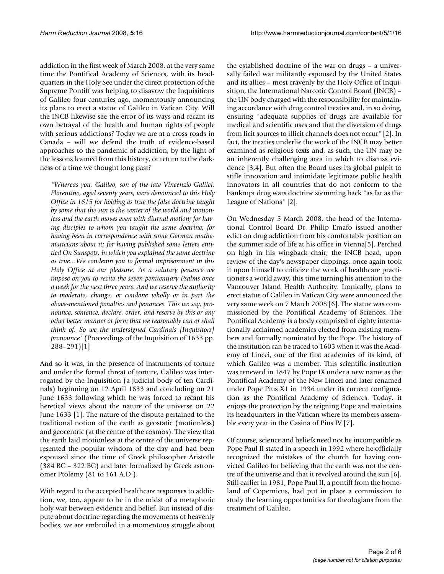addiction in the first week of March 2008, at the very same time the Pontifical Academy of Sciences, with its headquarters in the Holy See under the direct protection of the Supreme Pontiff was helping to disavow the Inquisitions of Galileo four centuries ago, momentously announcing its plans to erect a statue of Galileo in Vatican City. Will the INCB likewise see the error of its ways and recant its own betrayal of the health and human rights of people with serious addictions? Today we are at a cross roads in Canada – will we defend the truth of evidence-based approaches to the pandemic of addiction, by the light of the lessons learned from this history, or return to the darkness of a time we thought long past?

*"Whereas you, Galileo, son of the late Vincenzio Galilei, Florentine, aged seventy years, were denounced to this Holy Office in 1615 for holding as true the false doctrine taught by some that the sun is the center of the world and motionless and the earth moves even with diurnal motion; for having disciples to whom you taught the same doctrine; for having been in correspondence with some German mathematicians about it; for having published some letters entitled On Sunspots, in which you explained the same doctrine as true...We condemn you to formal imprisonment in this Holy Office at our pleasure. As a salutary penance we impose on you to recite the seven penitentiary Psalms once a week for the next three years. And we reserve the authority to moderate, change, or condone wholly or in part the above-mentioned penalties and penances. This we say, pronounce, sentence, declare, order, and reserve by this or any other better manner or form that we reasonably can or shall think of. So we the undersigned Cardinals [Inquisitors] pronounce"* (Proceedings of the Inquisition of 1633 pp. 288–291)[1]

And so it was, in the presence of instruments of torture and under the formal threat of torture, Galileo was interrogated by the Inquisition (a judicial body of ten Cardinals) beginning on 12 April 1633 and concluding on 21 June 1633 following which he was forced to recant his heretical views about the nature of the universe on 22 June 1633 [1]. The nature of the dispute pertained to the traditional notion of the earth as geostatic (motionless) and geocentric (at the centre of the cosmos). The view that the earth laid motionless at the centre of the universe represented the popular wisdom of the day and had been espoused since the time of Greek philosopher Aristotle (384 BC – 322 BC) and later formalized by Greek astronomer Ptolemy (81 to 161 A.D.).

With regard to the accepted healthcare responses to addiction, we, too, appear to be in the midst of a metaphoric holy war between evidence and belief. But instead of dispute about doctrine regarding the movements of heavenly bodies, we are embroiled in a momentous struggle about the established doctrine of the war on drugs – a universally failed war militantly espoused by the United States and its allies – most cravenly by the Holy Office of Inquisition, the International Narcotic Control Board (INCB) – the UN body charged with the responsibility for maintaining accordance with drug control treaties and, in so doing, ensuring "adequate supplies of drugs are available for medical and scientific uses and that the diversion of drugs from licit sources to illicit channels does not occur" [2]. In fact, the treaties underlie the work of the INCB may better examined as religious texts and, as such, the UN may be an inherently challenging area in which to discuss evidence [3,4]. But often the Board uses its global pulpit to stifle innovation and intimidate legitimate public health innovators in all countries that do not conform to the bankrupt drug wars doctrine stemming back "as far as the League of Nations" [2].

On Wednesday 5 March 2008, the head of the International Control Board Dr. Philip Emafo issued another edict on drug addiction from his comfortable position on the summer side of life at his office in Vienna[5]. Perched on high in his wingback chair, the INCB head, upon review of the day's newspaper clippings, once again took it upon himself to criticize the work of healthcare practitioners a world away, this time turning his attention to the Vancouver Island Health Authority. Ironically, plans to erect statue of Galileo in Vatican City were announced the very same week on 7 March 2008 [6]. The statue was commissioned by the Pontifical Academy of Sciences. The Pontifical Academy is a body comprised of eighty internationally acclaimed academics elected from existing members and formally nominated by the Pope. The history of the institution can be traced to 1603 when it was the Academy of Lincei, one of the first academies of its kind, of which Galileo was a member. This scientific institution was renewed in 1847 by Pope IX under a new name as the Pontifical Academy of the New Lincei and later renamed under Pope Pius X1 in 1936 under its current configuration as the Pontifical Academy of Sciences. Today, it enjoys the protection by the reigning Pope and maintains its headquarters in the Vatican where its members assemble every year in the Casina of Pius IV [7].

Of course, science and beliefs need not be incompatible as Pope Paul II stated in a speech in 1992 where he officially recognized the mistakes of the church for having convicted Galileo for believing that the earth was not the centre of the universe and that it revolved around the sun [6]. Still earlier in 1981, Pope Paul II, a pontiff from the homeland of Copernicus, had put in place a commission to study the learning opportunities for theologians from the treatment of Galileo.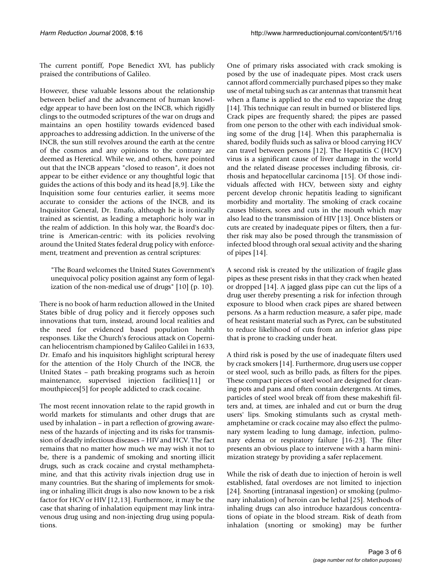The current pontiff, Pope Benedict XVI, has publicly praised the contributions of Galileo.

However, these valuable lessons about the relationship between belief and the advancement of human knowledge appear to have been lost on the INCB, which rigidly clings to the outmoded scriptures of the war on drugs and maintains an open hostility towards evidenced based approaches to addressing addiction. In the universe of the INCB, the sun still revolves around the earth at the centre of the cosmos and any opinions to the contrary are deemed as Heretical. While we, and others, have pointed out that the INCB appears "closed to reason", it does not appear to be either evidence or any thoughtful logic that guides the actions of this body and its head [8,9]. Like the Inquisition some four centuries earlier, it seems more accurate to consider the actions of the INCB, and its Inquisitor General, Dr. Emafo, although he is ironically trained as scientist, as leading a metaphoric holy war in the realm of addiction. In this holy war, the Board's doctrine is American-centric: with its policies revolving around the United States federal drug policy with enforcement, treatment and prevention as central scriptures:

"The Board welcomes the United States Government's unequivocal policy position against any form of legalization of the non-medical use of drugs" [10] (p. 10).

There is no book of harm reduction allowed in the United States bible of drug policy and it fiercely opposes such innovations that turn, instead, around local realities and the need for evidenced based population health responses. Like the Church's ferocious attack on Copernican heliocentrism championed by Galileo Galilei in 1633, Dr. Emafo and his inquisitors highlight scriptural heresy for the attention of the Holy Church of the INCB, the United States – path breaking programs such as heroin maintenance, supervised injection facilities[11] or mouthpieces[5] for people addicted to crack cocaine.

The most recent innovation relate to the rapid growth in world markets for stimulants and other drugs that are used by inhalation – in part a reflection of growing awareness of the hazards of injecting and its risks for transmission of deadly infectious diseases – HIV and HCV. The fact remains that no matter how much we may wish it not to be, there is a pandemic of smoking and snorting illicit drugs, such as crack cocaine and crystal methamphetamine, and that this activity rivals injection drug use in many countries. But the sharing of implements for smoking or inhaling illicit drugs is also now known to be a risk factor for HCV or HIV [12,13]. Furthermore, it may be the case that sharing of inhalation equipment may link intravenous drug using and non-injecting drug using populations.

One of primary risks associated with crack smoking is posed by the use of inadequate pipes. Most crack users cannot afford commercially purchased pipes so they make use of metal tubing such as car antennas that transmit heat when a flame is applied to the end to vaporize the drug [14]. This technique can result in burned or blistered lips. Crack pipes are frequently shared; the pipes are passed from one person to the other with each individual smoking some of the drug [14]. When this paraphernalia is shared, bodily fluids such as saliva or blood carrying HCV can travel between persons [12]. The Hepatitis C (HCV) virus is a significant cause of liver damage in the world and the related disease processes including fibrosis, cirrhosis and hepatocellular carcinoma [15]. Of those individuals affected with HCV, between sixty and eighty percent develop chronic hepatitis leading to significant morbidity and mortality. The smoking of crack cocaine causes blisters, sores and cuts in the mouth which may also lead to the transmission of HIV [13]. Once blisters or cuts are created by inadequate pipes or filters, then a further risk may also be posed through the transmission of infected blood through oral sexual activity and the sharing of pipes [14].

A second risk is created by the utilization of fragile glass pipes as these present risks in that they crack when heated or dropped [14]. A jagged glass pipe can cut the lips of a drug user thereby presenting a risk for infection through exposure to blood when crack pipes are shared between persons. As a harm reduction measure, a safer pipe, made of heat resistant material such as Pyrex, can be substituted to reduce likelihood of cuts from an inferior glass pipe that is prone to cracking under heat.

A third risk is posed by the use of inadequate filters used by crack smokers [14]. Furthermore, drug users use copper or steel wool, such as brillo pads, as filters for the pipes. These compact pieces of steel wool are designed for cleaning pots and pans and often contain detergents. At times, particles of steel wool break off from these makeshift filters and, at times, are inhaled and cut or burn the drug users' lips. Smoking stimulants such as crystal methamphetamine or crack cocaine may also effect the pulmonary system leading to lung damage, infection, pulmonary edema or respiratory failure [16-23]. The filter presents an obvious place to intervene with a harm minimization strategy by providing a safer replacement.

While the risk of death due to injection of heroin is well established, fatal overdoses are not limited to injection [24]. Snorting (intranasal ingestion) or smoking (pulmonary inhalation) of heroin can be lethal [25]. Methods of inhaling drugs can also introduce hazardous concentrations of opiate in the blood stream. Risk of death from inhalation (snorting or smoking) may be further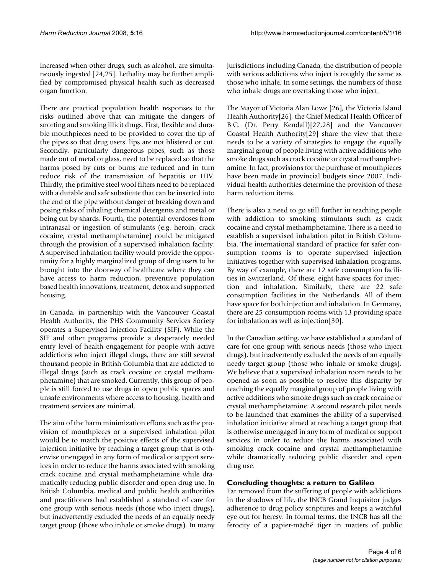increased when other drugs, such as alcohol, are simultaneously ingested [24,25]. Lethality may be further amplified by compromised physical health such as decreased organ function.

There are practical population health responses to the risks outlined above that can mitigate the dangers of snorting and smoking illicit drugs. First, flexible and durable mouthpieces need to be provided to cover the tip of the pipes so that drug users' lips are not blistered or cut. Secondly, particularly dangerous pipes, such as those made out of metal or glass, need to be replaced so that the harms posed by cuts or burns are reduced and in turn reduce risk of the transmission of hepatitis or HIV. Thirdly, the primitive steel wool filters need to be replaced with a durable and safe substitute that can be inserted into the end of the pipe without danger of breaking down and posing risks of inhaling chemical detergents and metal or being cut by shards. Fourth, the potential overdoses from intranasal or ingestion of stimulants (e.g. heroin, crack cocaine, crystal methamphetamine) could be mitigated through the provision of a supervised inhalation facility. A supervised inhalation facility would provide the opportunity for a highly marginalized group of drug users to be brought into the doorway of healthcare where they can have access to harm reduction, preventive population based health innovations, treatment, detox and supported housing.

In Canada, in partnership with the Vancouver Coastal Health Authority, the PHS Community Services Society operates a Supervised Injection Facility (SIF). While the SIF and other programs provide a desperately needed entry level of health engagement for people with active addictions who inject illegal drugs, there are still several thousand people in British Columbia that are addicted to illegal drugs (such as crack cocaine or crystal methamphetamine) that are smoked. Currently, this group of people is still forced to use drugs in open public spaces and unsafe environments where access to housing, health and treatment services are minimal.

The aim of the harm minimization efforts such as the provision of mouthpieces or a supervised inhalation pilot would be to match the positive effects of the supervised injection initiative by reaching a target group that is otherwise unengaged in any form of medical or support services in order to reduce the harms associated with smoking crack cocaine and crystal methamphetamine while dramatically reducing public disorder and open drug use. In British Columbia, medical and public health authorities and practitioners had established a standard of care for one group with serious needs (those who inject drugs), but inadvertently excluded the needs of an equally needy target group (those who inhale or smoke drugs). In many

jurisdictions including Canada, the distribution of people with serious addictions who inject is roughly the same as those who inhale. In some settings, the numbers of those who inhale drugs are overtaking those who inject.

The Mayor of Victoria Alan Lowe [26], the Victoria Island Health Authority[26], the Chief Medical Health Officer of B.C. (Dr. Perry Kendall)[27,28] and the Vancouver Coastal Health Authority[29] share the view that there needs to be a variety of strategies to engage the equally marginal group of people living with active additions who smoke drugs such as crack cocaine or crystal methamphetamine. In fact, provisions for the purchase of mouthpieces have been made in provincial budgets since 2007. Individual health authorities determine the provision of these harm reduction items.

There is also a need to go still further in reaching people with addiction to smoking stimulants such as crack cocaine and crystal methamphetamine. There is a need to establish a supervised inhalation pilot in British Columbia. The international standard of practice for safer consumption rooms is to operate supervised **injection** initiatives together with supervised **inhalation** programs. By way of example, there are 12 safe consumption facilities in Switzerland. Of these, eight have spaces for injection and inhalation. Similarly, there are 22 safe consumption facilities in the Netherlands. All of them have space for both injection and inhalation. In Germany, there are 25 consumption rooms with 13 providing space for inhalation as well as injection[30].

In the Canadian setting, we have established a standard of care for one group with serious needs (those who inject drugs), but inadvertently excluded the needs of an equally needy target group (those who inhale or smoke drugs). We believe that a supervised inhalation room needs to be opened as soon as possible to resolve this disparity by reaching the equally marginal group of people living with active additions who smoke drugs such as crack cocaine or crystal methamphetamine. A second research pilot needs to be launched that examines the ability of a supervised inhalation initiative aimed at reaching a target group that is otherwise unengaged in any form of medical or support services in order to reduce the harms associated with smoking crack cocaine and crystal methamphetamine while dramatically reducing public disorder and open drug use.

## **Concluding thoughts: a return to Galileo**

Far removed from the suffering of people with addictions in the shadows of life, the INCB Grand Inquisitor judges adherence to drug policy scriptures and keeps a watchful eye out for heresy. In formal terms, the INCB has all the ferocity of a papier-mâché tiger in matters of public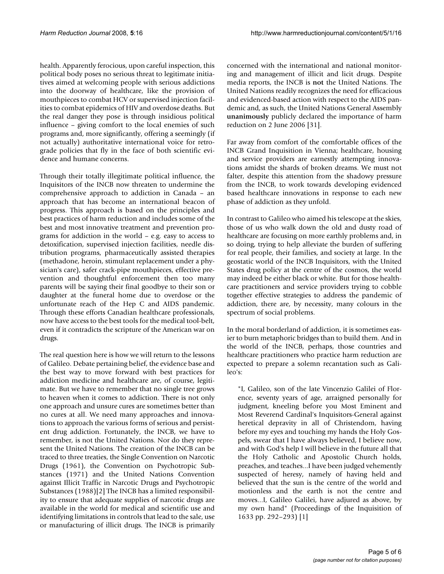health. Apparently ferocious, upon careful inspection, this political body poses no serious threat to legitimate initiatives aimed at welcoming people with serious addictions into the doorway of healthcare, like the provision of mouthpieces to combat HCV or supervised injection facilities to combat epidemics of HIV and overdose deaths. But the real danger they pose is through insidious political influence – giving comfort to the local enemies of such programs and, more significantly, offering a seemingly (if not actually) authoritative international voice for retrograde policies that fly in the face of both scientific evidence and humane concerns.

Through their totally illegitimate political influence, the Inquisitors of the INCB now threaten to undermine the comprehensive approach to addiction in Canada – an approach that has become an international beacon of progress. This approach is based on the principles and best practices of harm reduction and includes some of the best and most innovative treatment and prevention programs for addiction in the world – e.g. easy to access to detoxification, supervised injection facilities, needle distribution programs, pharmaceutically assisted therapies (methadone, heroin, stimulant replacement under a physician's care), safer crack-pipe mouthpieces, effective prevention and thoughtful enforcement then too many parents will be saying their final goodbye to their son or daughter at the funeral home due to overdose or the unfortunate reach of the Hep C and AIDS pandemic. Through these efforts Canadian healthcare professionals, now have access to the best tools for the medical tool-belt, even if it contradicts the scripture of the American war on drugs.

The real question here is how we will return to the lessons of Galileo. Debate pertaining belief, the evidence base and the best way to move forward with best practices for addiction medicine and healthcare are, of course, legitimate. But we have to remember that no single tree grows to heaven when it comes to addiction. There is not only one approach and unsure cures are sometimes better than no cures at all. We need many approaches and innovations to approach the various forms of serious and persistent drug addiction. Fortunately, the INCB, we have to remember, is not the United Nations. Nor do they represent the United Nations. The creation of the INCB can be traced to three treaties, the Single Convention on Narcotic Drugs (1961), the Convention on Psychotropic Substances (1971) and the United Nations Convention against Illicit Traffic in Narcotic Drugs and Psychotropic Substances (1988)[2] The INCB has a limited responsibility to ensure that adequate supplies of narcotic drugs are available in the world for medical and scientific use and identifying limitations in controls that lead to the sale, use or manufacturing of illicit drugs. The INCB is primarily concerned with the international and national monitoring and management of illicit and licit drugs. Despite media reports, the INCB is **not** the United Nations. The United Nations readily recognizes the need for efficacious and evidenced-based action with respect to the AIDS pandemic and, as such, the United Nations General Assembly **unanimously** publicly declared the importance of harm reduction on 2 June 2006 [31].

Far away from comfort of the comfortable offices of the INCB Grand Inquisition in Vienna; healthcare, housing and service providers are earnestly attempting innovations amidst the shards of broken dreams. We must not falter, despite this attention from the shadowy pressure from the INCB, to work towards developing evidenced based healthcare innovations in response to each new phase of addiction as they unfold.

In contrast to Galileo who aimed his telescope at the skies, those of us who walk down the old and dusty road of healthcare are focusing on more earthly problems and, in so doing, trying to help alleviate the burden of suffering for real people, their families, and society at large. In the geostatic world of the INCB Inquisitors, with the United States drug policy at the centre of the cosmos, the world may indeed be either black or white. But for those healthcare practitioners and service providers trying to cobble together effective strategies to address the pandemic of addiction, there are, by necessity, many colours in the spectrum of social problems.

In the moral borderland of addiction, it is sometimes easier to burn metaphoric bridges than to build them. And in the world of the INCB, perhaps, those countries and healthcare practitioners who practice harm reduction are expected to prepare a solemn recantation such as Galileo's:

"I, Galileo, son of the late Vincenzio Galilei of Florence, seventy years of age, arraigned personally for judgment, kneeling before you Most Eminent and Most Reverend Cardinal's Inquisitors-General against heretical depravity in all of Christendom, having before my eyes and touching my hands the Holy Gospels, swear that I have always believed, I believe now, and with God's help I will believe in the future all that the Holy Catholic and Apostolic Church holds, preaches, and teaches...I have been judged vehemently suspected of heresy, namely of having held and believed that the sun is the centre of the world and motionless and the earth is not the centre and moves...I, Galileo Galilei, have adjured as above, by my own hand" (Proceedings of the Inquisition of 1633 pp. 292–293) [1]